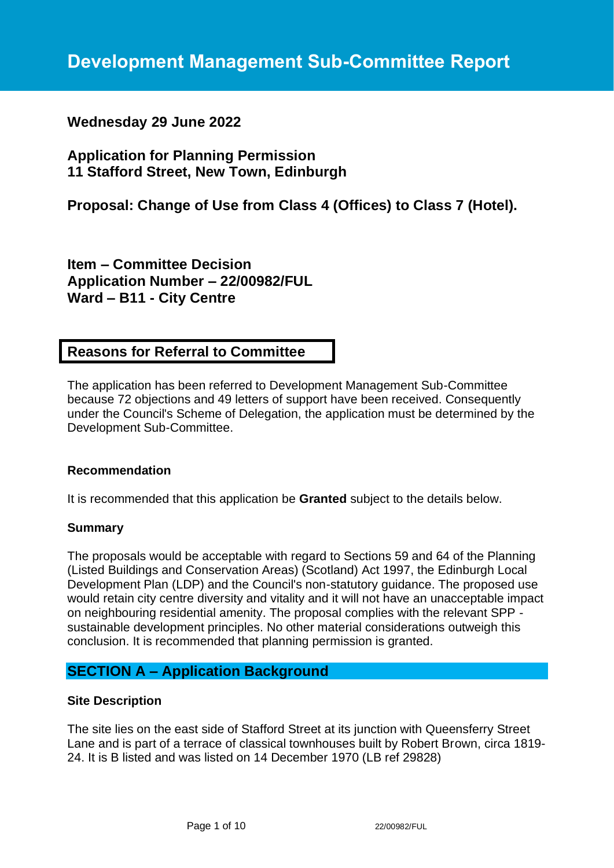# **Wednesday 29 June 2022**

# **Application for Planning Permission 11 Stafford Street, New Town, Edinburgh**

# **Proposal: Change of Use from Class 4 (Offices) to Class 7 (Hotel).**

**Item – Committee Decision Application Number – 22/00982/FUL Ward – B11 - City Centre**

# **Reasons for Referral to Committee**

The application has been referred to Development Management Sub-Committee because 72 objections and 49 letters of support have been received. Consequently under the Council's Scheme of Delegation, the application must be determined by the Development Sub-Committee.

### **Recommendation**

It is recommended that this application be **Granted** subject to the details below.

### **Summary**

The proposals would be acceptable with regard to Sections 59 and 64 of the Planning (Listed Buildings and Conservation Areas) (Scotland) Act 1997, the Edinburgh Local Development Plan (LDP) and the Council's non-statutory guidance. The proposed use would retain city centre diversity and vitality and it will not have an unacceptable impact on neighbouring residential amenity. The proposal complies with the relevant SPP sustainable development principles. No other material considerations outweigh this conclusion. It is recommended that planning permission is granted.

## **SECTION A – Application Background**

### **Site Description**

The site lies on the east side of Stafford Street at its junction with Queensferry Street Lane and is part of a terrace of classical townhouses built by Robert Brown, circa 1819- 24. It is B listed and was listed on 14 December 1970 (LB ref 29828)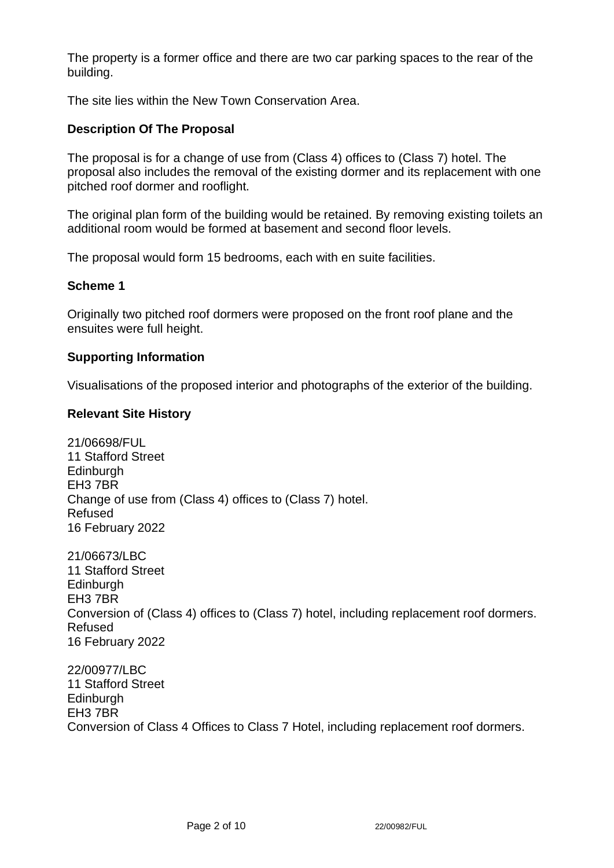The property is a former office and there are two car parking spaces to the rear of the building.

The site lies within the New Town Conservation Area.

## **Description Of The Proposal**

The proposal is for a change of use from (Class 4) offices to (Class 7) hotel. The proposal also includes the removal of the existing dormer and its replacement with one pitched roof dormer and rooflight.

The original plan form of the building would be retained. By removing existing toilets an additional room would be formed at basement and second floor levels.

The proposal would form 15 bedrooms, each with en suite facilities.

### **Scheme 1**

Originally two pitched roof dormers were proposed on the front roof plane and the ensuites were full height.

### **Supporting Information**

Visualisations of the proposed interior and photographs of the exterior of the building.

### **Relevant Site History**

21/06698/FUL 11 Stafford Street **Edinburgh** EH3 7BR Change of use from (Class 4) offices to (Class 7) hotel. Refused 16 February 2022

21/06673/LBC 11 Stafford Street **Edinburgh** EH3 7BR Conversion of (Class 4) offices to (Class 7) hotel, including replacement roof dormers. Refused 16 February 2022

22/00977/LBC 11 Stafford Street **Edinburgh** EH3 7BR Conversion of Class 4 Offices to Class 7 Hotel, including replacement roof dormers.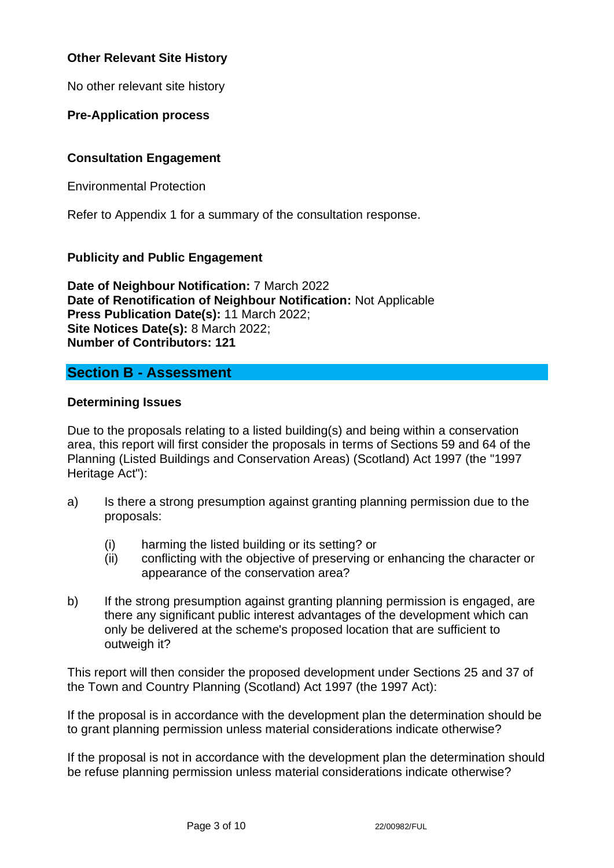## **Other Relevant Site History**

No other relevant site history

**Pre-Application process**

## **Consultation Engagement**

Environmental Protection

Refer to Appendix 1 for a summary of the consultation response.

## **Publicity and Public Engagement**

**Date of Neighbour Notification:** 7 March 2022 **Date of Renotification of Neighbour Notification:** Not Applicable **Press Publication Date(s):** 11 March 2022; **Site Notices Date(s):** 8 March 2022; **Number of Contributors: 121**

# **Section B - Assessment**

### **Determining Issues**

Due to the proposals relating to a listed building(s) and being within a conservation area, this report will first consider the proposals in terms of Sections 59 and 64 of the Planning (Listed Buildings and Conservation Areas) (Scotland) Act 1997 (the "1997 Heritage Act"):

- a) Is there a strong presumption against granting planning permission due to the proposals:
	- (i) harming the listed building or its setting? or
	- (ii) conflicting with the objective of preserving or enhancing the character or appearance of the conservation area?
- b) If the strong presumption against granting planning permission is engaged, are there any significant public interest advantages of the development which can only be delivered at the scheme's proposed location that are sufficient to outweigh it?

This report will then consider the proposed development under Sections 25 and 37 of the Town and Country Planning (Scotland) Act 1997 (the 1997 Act):

If the proposal is in accordance with the development plan the determination should be to grant planning permission unless material considerations indicate otherwise?

If the proposal is not in accordance with the development plan the determination should be refuse planning permission unless material considerations indicate otherwise?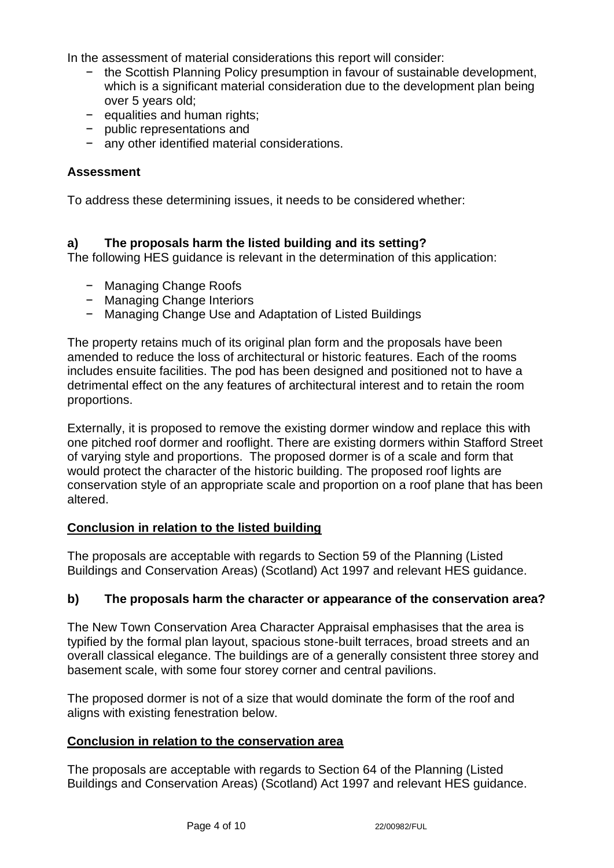In the assessment of material considerations this report will consider:

- − the Scottish Planning Policy presumption in favour of sustainable development, which is a significant material consideration due to the development plan being over 5 years old;
- − equalities and human rights;
- − public representations and
- − any other identified material considerations.

### **Assessment**

To address these determining issues, it needs to be considered whether:

### **a) The proposals harm the listed building and its setting?**

The following HES guidance is relevant in the determination of this application:

- − Managing Change Roofs
- − Managing Change Interiors
- − Managing Change Use and Adaptation of Listed Buildings

The property retains much of its original plan form and the proposals have been amended to reduce the loss of architectural or historic features. Each of the rooms includes ensuite facilities. The pod has been designed and positioned not to have a detrimental effect on the any features of architectural interest and to retain the room proportions.

Externally, it is proposed to remove the existing dormer window and replace this with one pitched roof dormer and rooflight. There are existing dormers within Stafford Street of varying style and proportions. The proposed dormer is of a scale and form that would protect the character of the historic building. The proposed roof lights are conservation style of an appropriate scale and proportion on a roof plane that has been altered.

## **Conclusion in relation to the listed building**

The proposals are acceptable with regards to Section 59 of the Planning (Listed Buildings and Conservation Areas) (Scotland) Act 1997 and relevant HES guidance.

### **b) The proposals harm the character or appearance of the conservation area?**

The New Town Conservation Area Character Appraisal emphasises that the area is typified by the formal plan layout, spacious stone-built terraces, broad streets and an overall classical elegance. The buildings are of a generally consistent three storey and basement scale, with some four storey corner and central pavilions.

The proposed dormer is not of a size that would dominate the form of the roof and aligns with existing fenestration below.

### **Conclusion in relation to the conservation area**

The proposals are acceptable with regards to Section 64 of the Planning (Listed Buildings and Conservation Areas) (Scotland) Act 1997 and relevant HES guidance.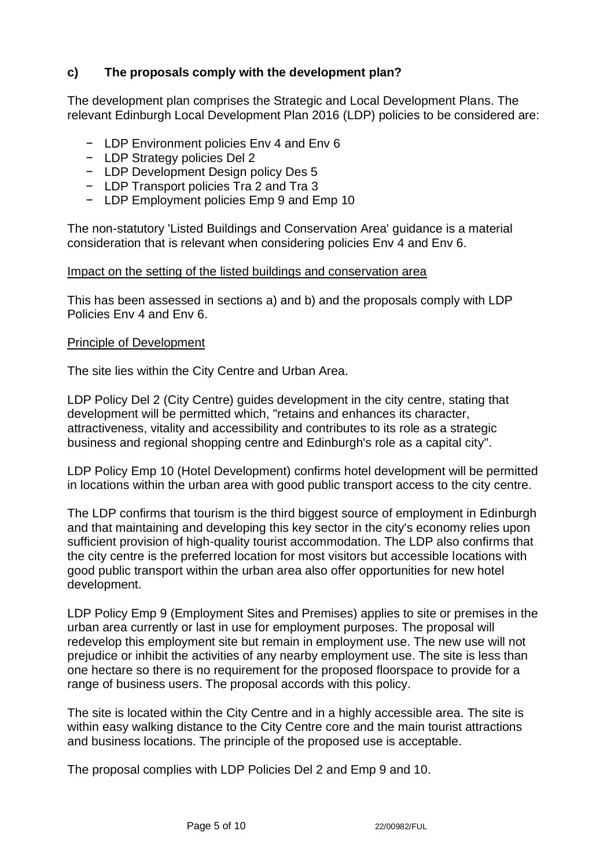## **c) The proposals comply with the development plan?**

The development plan comprises the Strategic and Local Development Plans. The relevant Edinburgh Local Development Plan 2016 (LDP) policies to be considered are:

- − LDP Environment policies Env 4 and Env 6
- − LDP Strategy policies Del 2
- − LDP Development Design policy Des 5
- − LDP Transport policies Tra 2 and Tra 3
- − LDP Employment policies Emp 9 and Emp 10

The non-statutory 'Listed Buildings and Conservation Area' guidance is a material consideration that is relevant when considering policies Env 4 and Env 6.

#### Impact on the setting of the listed buildings and conservation area

This has been assessed in sections a) and b) and the proposals comply with LDP Policies Env 4 and Env 6.

#### Principle of Development

The site lies within the City Centre and Urban Area.

LDP Policy Del 2 (City Centre) guides development in the city centre, stating that development will be permitted which, "retains and enhances its character, attractiveness, vitality and accessibility and contributes to its role as a strategic business and regional shopping centre and Edinburgh's role as a capital city".

LDP Policy Emp 10 (Hotel Development) confirms hotel development will be permitted in locations within the urban area with good public transport access to the city centre.

The LDP confirms that tourism is the third biggest source of employment in Edinburgh and that maintaining and developing this key sector in the city's economy relies upon sufficient provision of high-quality tourist accommodation. The LDP also confirms that the city centre is the preferred location for most visitors but accessible locations with good public transport within the urban area also offer opportunities for new hotel development.

LDP Policy Emp 9 (Employment Sites and Premises) applies to site or premises in the urban area currently or last in use for employment purposes. The proposal will redevelop this employment site but remain in employment use. The new use will not prejudice or inhibit the activities of any nearby employment use. The site is less than one hectare so there is no requirement for the proposed floorspace to provide for a range of business users. The proposal accords with this policy.

The site is located within the City Centre and in a highly accessible area. The site is within easy walking distance to the City Centre core and the main tourist attractions and business locations. The principle of the proposed use is acceptable.

The proposal complies with LDP Policies Del 2 and Emp 9 and 10.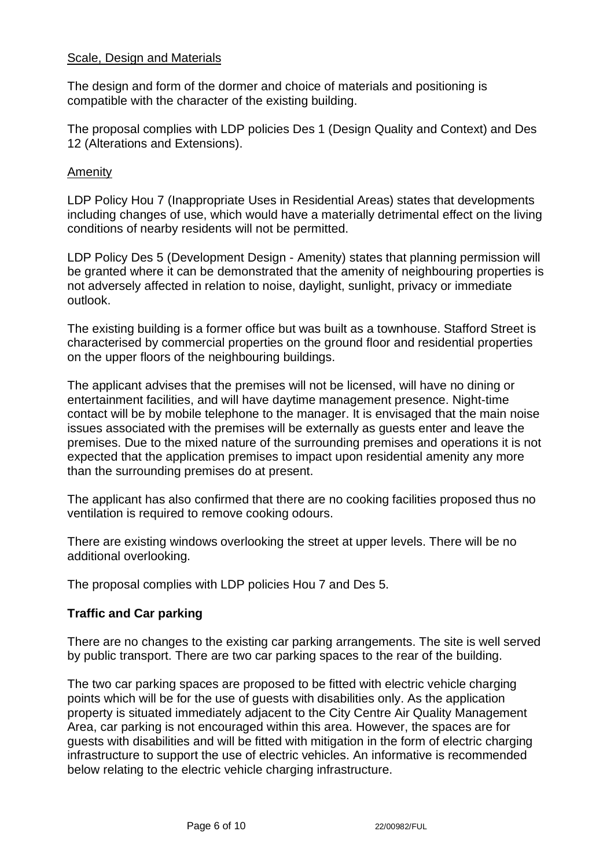### Scale, Design and Materials

The design and form of the dormer and choice of materials and positioning is compatible with the character of the existing building.

The proposal complies with LDP policies Des 1 (Design Quality and Context) and Des 12 (Alterations and Extensions).

#### Amenity

LDP Policy Hou 7 (Inappropriate Uses in Residential Areas) states that developments including changes of use, which would have a materially detrimental effect on the living conditions of nearby residents will not be permitted.

LDP Policy Des 5 (Development Design - Amenity) states that planning permission will be granted where it can be demonstrated that the amenity of neighbouring properties is not adversely affected in relation to noise, daylight, sunlight, privacy or immediate outlook.

The existing building is a former office but was built as a townhouse. Stafford Street is characterised by commercial properties on the ground floor and residential properties on the upper floors of the neighbouring buildings.

The applicant advises that the premises will not be licensed, will have no dining or entertainment facilities, and will have daytime management presence. Night-time contact will be by mobile telephone to the manager. It is envisaged that the main noise issues associated with the premises will be externally as guests enter and leave the premises. Due to the mixed nature of the surrounding premises and operations it is not expected that the application premises to impact upon residential amenity any more than the surrounding premises do at present.

The applicant has also confirmed that there are no cooking facilities proposed thus no ventilation is required to remove cooking odours.

There are existing windows overlooking the street at upper levels. There will be no additional overlooking.

The proposal complies with LDP policies Hou 7 and Des 5.

### **Traffic and Car parking**

There are no changes to the existing car parking arrangements. The site is well served by public transport. There are two car parking spaces to the rear of the building.

The two car parking spaces are proposed to be fitted with electric vehicle charging points which will be for the use of guests with disabilities only. As the application property is situated immediately adjacent to the City Centre Air Quality Management Area, car parking is not encouraged within this area. However, the spaces are for guests with disabilities and will be fitted with mitigation in the form of electric charging infrastructure to support the use of electric vehicles. An informative is recommended below relating to the electric vehicle charging infrastructure.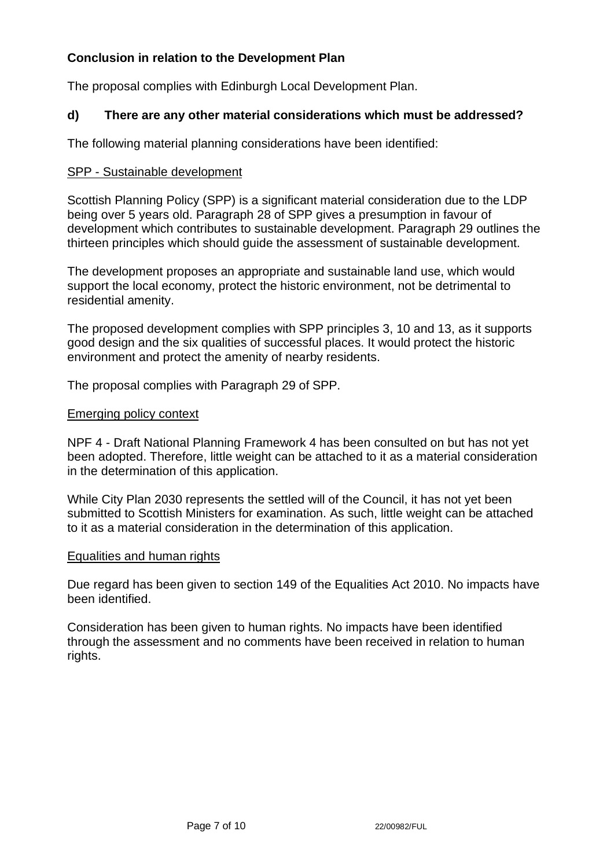# **Conclusion in relation to the Development Plan**

The proposal complies with Edinburgh Local Development Plan.

### **d) There are any other material considerations which must be addressed?**

The following material planning considerations have been identified:

#### SPP - Sustainable development

Scottish Planning Policy (SPP) is a significant material consideration due to the LDP being over 5 years old. Paragraph 28 of SPP gives a presumption in favour of development which contributes to sustainable development. Paragraph 29 outlines the thirteen principles which should guide the assessment of sustainable development.

The development proposes an appropriate and sustainable land use, which would support the local economy, protect the historic environment, not be detrimental to residential amenity.

The proposed development complies with SPP principles 3, 10 and 13, as it supports good design and the six qualities of successful places. It would protect the historic environment and protect the amenity of nearby residents.

The proposal complies with Paragraph 29 of SPP.

#### Emerging policy context

NPF 4 - Draft National Planning Framework 4 has been consulted on but has not yet been adopted. Therefore, little weight can be attached to it as a material consideration in the determination of this application.

While City Plan 2030 represents the settled will of the Council, it has not yet been submitted to Scottish Ministers for examination. As such, little weight can be attached to it as a material consideration in the determination of this application.

#### Equalities and human rights

Due regard has been given to section 149 of the Equalities Act 2010. No impacts have been identified.

Consideration has been given to human rights. No impacts have been identified through the assessment and no comments have been received in relation to human rights.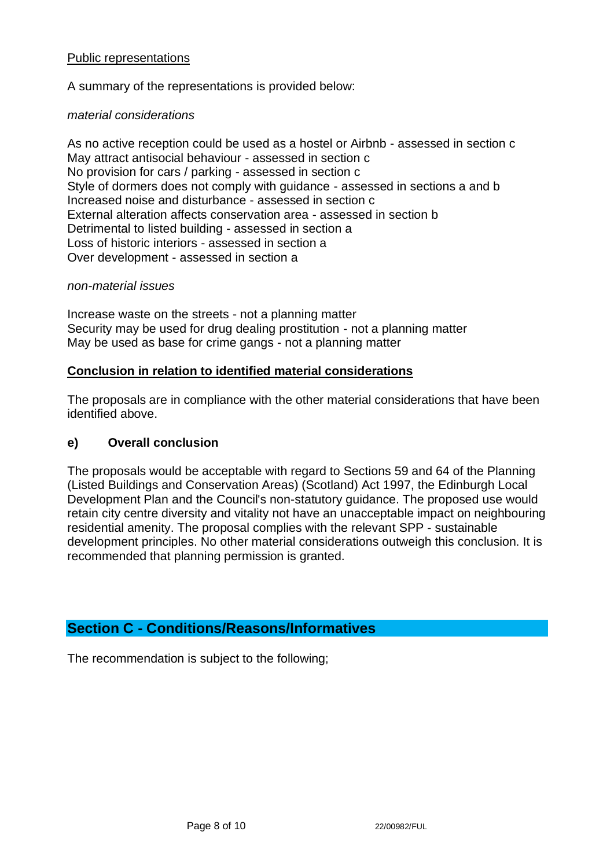### Public representations

A summary of the representations is provided below:

#### *material considerations*

As no active reception could be used as a hostel or Airbnb - assessed in section c May attract antisocial behaviour - assessed in section c No provision for cars / parking - assessed in section c Style of dormers does not comply with guidance - assessed in sections a and b Increased noise and disturbance - assessed in section c External alteration affects conservation area - assessed in section b Detrimental to listed building - assessed in section a Loss of historic interiors - assessed in section a Over development - assessed in section a

#### *non-material issues*

Increase waste on the streets - not a planning matter Security may be used for drug dealing prostitution - not a planning matter May be used as base for crime gangs - not a planning matter

#### **Conclusion in relation to identified material considerations**

The proposals are in compliance with the other material considerations that have been identified above.

### **e) Overall conclusion**

The proposals would be acceptable with regard to Sections 59 and 64 of the Planning (Listed Buildings and Conservation Areas) (Scotland) Act 1997, the Edinburgh Local Development Plan and the Council's non-statutory guidance. The proposed use would retain city centre diversity and vitality not have an unacceptable impact on neighbouring residential amenity. The proposal complies with the relevant SPP - sustainable development principles. No other material considerations outweigh this conclusion. It is recommended that planning permission is granted.

## **Section C - Conditions/Reasons/Informatives**

The recommendation is subject to the following;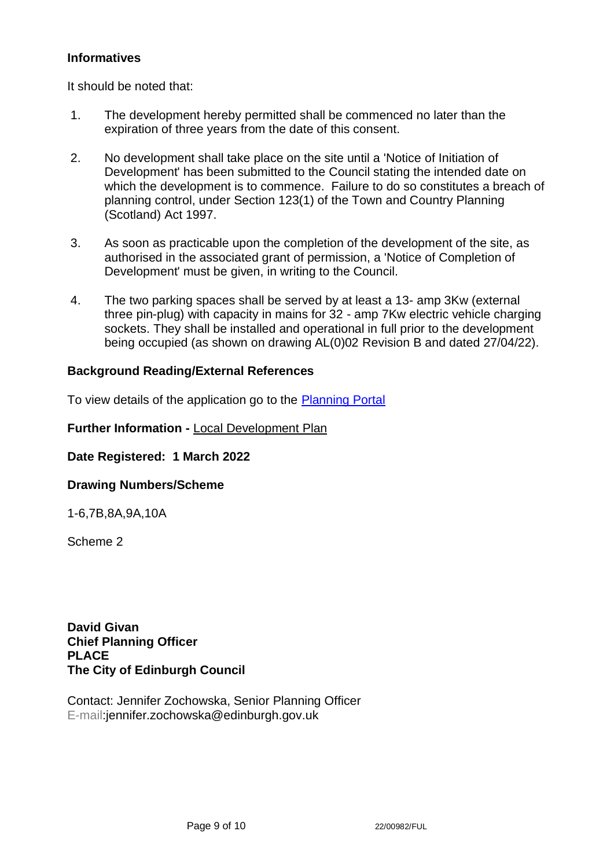### **Informatives**

It should be noted that:

- 1. The development hereby permitted shall be commenced no later than the expiration of three years from the date of this consent.
- 2. No development shall take place on the site until a 'Notice of Initiation of Development' has been submitted to the Council stating the intended date on which the development is to commence. Failure to do so constitutes a breach of planning control, under Section 123(1) of the Town and Country Planning (Scotland) Act 1997.
- 3. As soon as practicable upon the completion of the development of the site, as authorised in the associated grant of permission, a 'Notice of Completion of Development' must be given, in writing to the Council.
- 4. The two parking spaces shall be served by at least a 13- amp 3Kw (external three pin-plug) with capacity in mains for 32 - amp 7Kw electric vehicle charging sockets. They shall be installed and operational in full prior to the development being occupied (as shown on drawing AL(0)02 Revision B and dated 27/04/22).

### **Background Reading/External References**

To view details of the application go to the [Planning Portal](https://citydev-portal.edinburgh.gov.uk/idoxpa-web/applicationDetails.do?activeTab=summary&keyVal=R8254PEWJT800)

**Further Information -** [Local Development Plan](https://www.edinburgh.gov.uk/local-development-plan-guidance-1/edinburgh-local-development-plan/1)

**Date Registered: 1 March 2022**

### **Drawing Numbers/Scheme**

1-6,7B,8A,9A,10A

Scheme 2

**David Givan Chief Planning Officer PLACE The City of Edinburgh Council**

Contact: Jennifer Zochowska, Senior Planning Officer E-mail:jennifer.zochowska@edinburgh.gov.uk